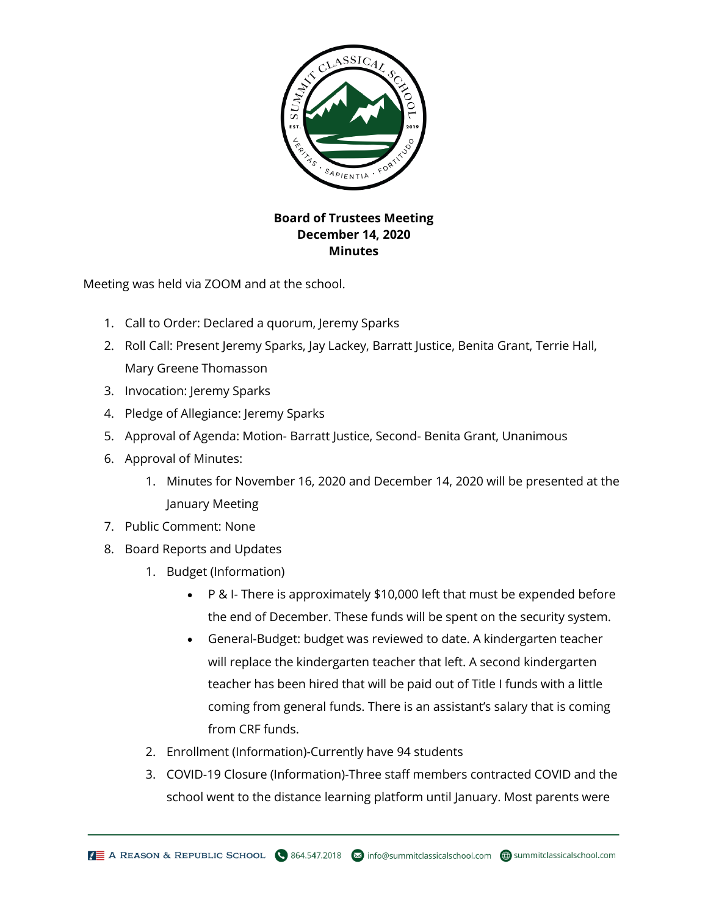

## **Board of Trustees Meeting December 14, 2020 Minutes**

Meeting was held via ZOOM and at the school.

- 1. Call to Order: Declared a quorum, Jeremy Sparks
- 2. Roll Call: Present Jeremy Sparks, Jay Lackey, Barratt Justice, Benita Grant, Terrie Hall, Mary Greene Thomasson
- 3. Invocation: Jeremy Sparks
- 4. Pledge of Allegiance: Jeremy Sparks
- 5. Approval of Agenda: Motion- Barratt Justice, Second- Benita Grant, Unanimous
- 6. Approval of Minutes:
	- 1. Minutes for November 16, 2020 and December 14, 2020 will be presented at the January Meeting
- 7. Public Comment: None
- 8. Board Reports and Updates
	- 1. Budget (Information)
		- P & I- There is approximately \$10,000 left that must be expended before the end of December. These funds will be spent on the security system.
		- General-Budget: budget was reviewed to date. A kindergarten teacher will replace the kindergarten teacher that left. A second kindergarten teacher has been hired that will be paid out of Title I funds with a little coming from general funds. There is an assistant's salary that is coming from CRF funds.
	- 2. Enrollment (Information)-Currently have 94 students
	- 3. COVID-19 Closure (Information)-Three staff members contracted COVID and the school went to the distance learning platform until January. Most parents were